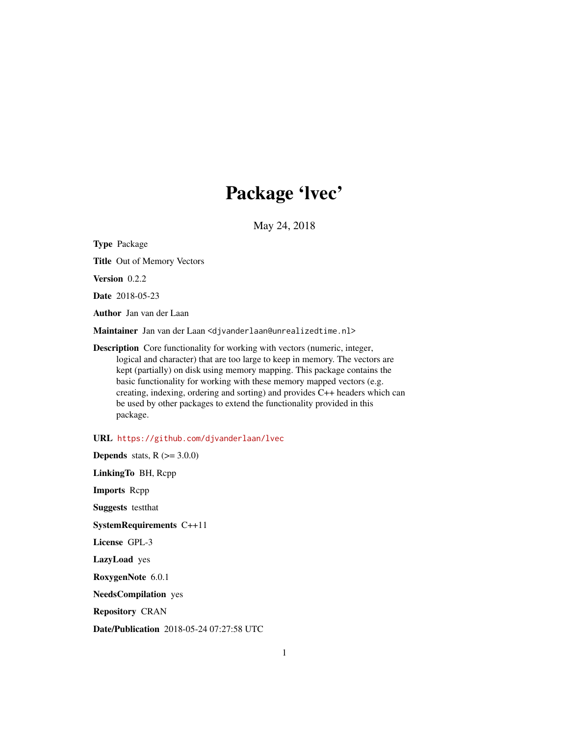# Package 'lvec'

May 24, 2018

<span id="page-0-0"></span>Type Package Title Out of Memory Vectors Version 0.2.2 Date 2018-05-23 Author Jan van der Laan Maintainer Jan van der Laan <djvanderlaan@unrealizedtime.nl> Description Core functionality for working with vectors (numeric, integer, logical and character) that are too large to keep in memory. The vectors are kept (partially) on disk using memory mapping. This package contains the basic functionality for working with these memory mapped vectors (e.g. creating, indexing, ordering and sorting) and provides C++ headers which can be used by other packages to extend the functionality provided in this package.

URL <https://github.com/djvanderlaan/lvec>

**Depends** stats,  $R$  ( $>=$  3.0.0) LinkingTo BH, Rcpp Imports Rcpp Suggests testthat SystemRequirements C++11 License GPL-3 LazyLoad yes RoxygenNote 6.0.1 NeedsCompilation yes Repository CRAN

Date/Publication 2018-05-24 07:27:58 UTC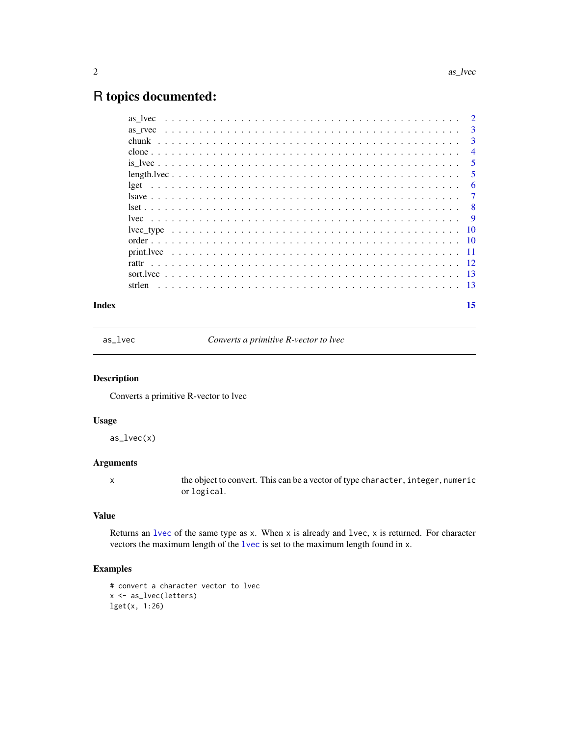## <span id="page-1-0"></span>R topics documented:

| Index |        |  |  |  |  |  |  |  |  |  |  |  |  |  |  |  |  |  |  |  |  |  | 15             |
|-------|--------|--|--|--|--|--|--|--|--|--|--|--|--|--|--|--|--|--|--|--|--|--|----------------|
|       | strlen |  |  |  |  |  |  |  |  |  |  |  |  |  |  |  |  |  |  |  |  |  |                |
|       |        |  |  |  |  |  |  |  |  |  |  |  |  |  |  |  |  |  |  |  |  |  |                |
|       |        |  |  |  |  |  |  |  |  |  |  |  |  |  |  |  |  |  |  |  |  |  |                |
|       |        |  |  |  |  |  |  |  |  |  |  |  |  |  |  |  |  |  |  |  |  |  |                |
|       |        |  |  |  |  |  |  |  |  |  |  |  |  |  |  |  |  |  |  |  |  |  |                |
|       |        |  |  |  |  |  |  |  |  |  |  |  |  |  |  |  |  |  |  |  |  |  |                |
|       |        |  |  |  |  |  |  |  |  |  |  |  |  |  |  |  |  |  |  |  |  |  | -9             |
|       |        |  |  |  |  |  |  |  |  |  |  |  |  |  |  |  |  |  |  |  |  |  |                |
|       |        |  |  |  |  |  |  |  |  |  |  |  |  |  |  |  |  |  |  |  |  |  | $\overline{7}$ |
|       |        |  |  |  |  |  |  |  |  |  |  |  |  |  |  |  |  |  |  |  |  |  | 6              |
|       |        |  |  |  |  |  |  |  |  |  |  |  |  |  |  |  |  |  |  |  |  |  | -5             |
|       |        |  |  |  |  |  |  |  |  |  |  |  |  |  |  |  |  |  |  |  |  |  | 5              |
|       |        |  |  |  |  |  |  |  |  |  |  |  |  |  |  |  |  |  |  |  |  |  | $\overline{4}$ |
|       |        |  |  |  |  |  |  |  |  |  |  |  |  |  |  |  |  |  |  |  |  |  | $\overline{3}$ |
|       |        |  |  |  |  |  |  |  |  |  |  |  |  |  |  |  |  |  |  |  |  |  | 3              |
|       |        |  |  |  |  |  |  |  |  |  |  |  |  |  |  |  |  |  |  |  |  |  |                |

as\_lvec *Converts a primitive R-vector to lvec*

#### Description

Converts a primitive R-vector to lvec

#### Usage

as\_lvec(x)

#### Arguments

x the object to convert. This can be a vector of type character, integer, numeric or logical.

#### Value

Returns an [lvec](#page-8-1) of the same type as x. When x is already and lvec, x is returned. For character vectors the maximum length of the [lvec](#page-8-1) is set to the maximum length found in x.

```
# convert a character vector to lvec
x <- as_lvec(letters)
lget(x, 1:26)
```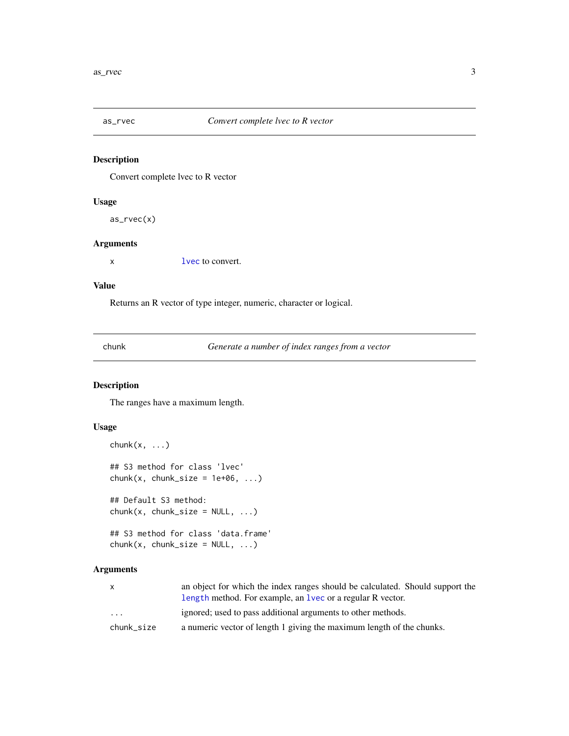<span id="page-2-1"></span><span id="page-2-0"></span>

Convert complete lvec to R vector

#### Usage

as\_rvec(x)

#### Arguments

x [lvec](#page-8-1) to convert.

#### Value

Returns an R vector of type integer, numeric, character or logical.

<span id="page-2-2"></span>chunk *Generate a number of index ranges from a vector*

#### Description

The ranges have a maximum length.

#### Usage

```
chunk(x, \ldots)## S3 method for class 'lvec'
chunk(x, chunk_size = 1e+06, ...)## Default S3 method:
chunk(x, chunk_size = NULL, ...)## S3 method for class 'data.frame'
```
 $chunk(x, chunk\_size = NULL, ...)$ 

## Arguments

| $\mathsf{x}$ | an object for which the index ranges should be calculated. Should support the |
|--------------|-------------------------------------------------------------------------------|
|              | length method. For example, an lvec or a regular R vector.                    |
| $\cdots$     | ignored; used to pass additional arguments to other methods.                  |
| chunk size   | a numeric vector of length 1 giving the maximum length of the chunks.         |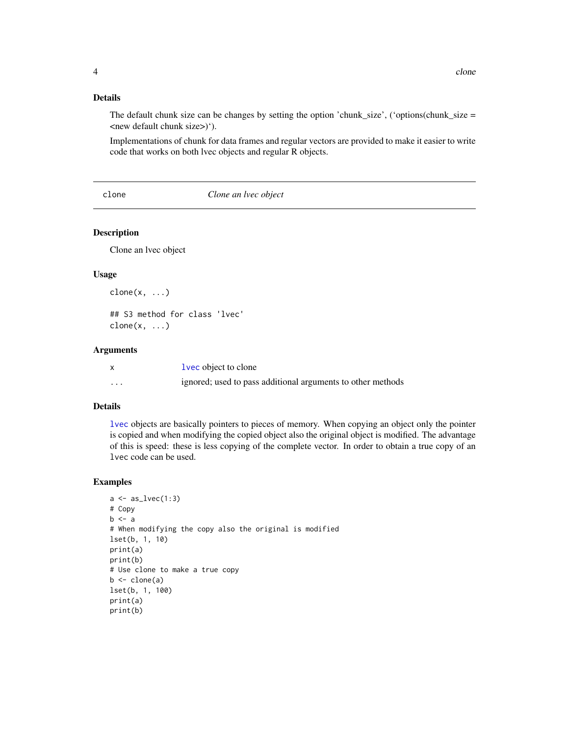#### <span id="page-3-0"></span>Details

The default chunk size can be changes by setting the option 'chunk\_size', ('options(chunk\_size = <new default chunk size>)').

Implementations of chunk for data frames and regular vectors are provided to make it easier to write code that works on both lvec objects and regular R objects.

clone *Clone an lvec object*

#### Description

Clone an lvec object

#### Usage

 $clone(x, \ldots)$ 

## S3 method for class 'lvec'  $clone(x, \ldots)$ 

#### Arguments

|   | <b>lvec</b> object to clone                                 |
|---|-------------------------------------------------------------|
| . | ignored; used to pass additional arguments to other methods |

#### Details

[lvec](#page-8-1) objects are basically pointers to pieces of memory. When copying an object only the pointer is copied and when modifying the copied object also the original object is modified. The advantage of this is speed: these is less copying of the complete vector. In order to obtain a true copy of an lvec code can be used.

```
a \leftarrow as\_lvec(1:3)# Copy
b \leq a# When modifying the copy also the original is modified
lset(b, 1, 10)
print(a)
print(b)
# Use clone to make a true copy
b \leftarrow clone(a)
lset(b, 1, 100)
print(a)
print(b)
```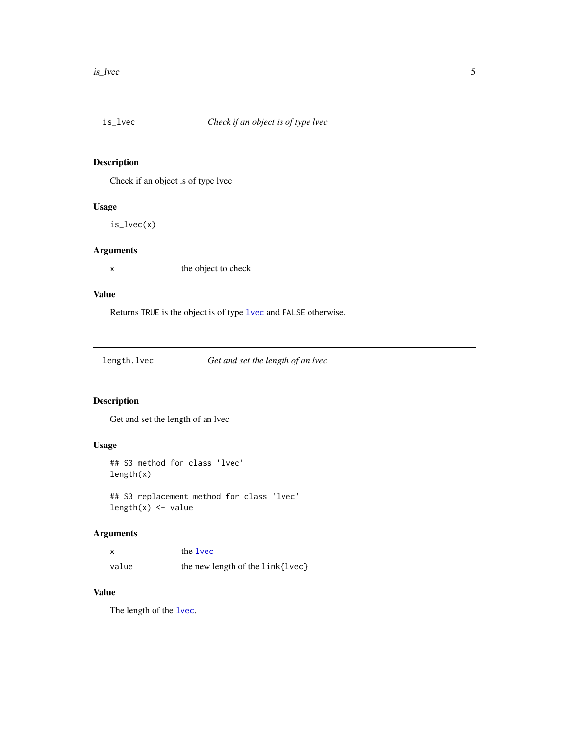<span id="page-4-0"></span>

Check if an object is of type lvec

#### Usage

is\_lvec(x)

#### Arguments

x the object to check

#### Value

Returns TRUE is the object is of type [lvec](#page-8-1) and FALSE otherwise.

| length.lvec<br>Get and set the length of an lvec |
|--------------------------------------------------|
|--------------------------------------------------|

#### Description

Get and set the length of an lvec

### Usage

```
## S3 method for class 'lvec'
length(x)
```
## S3 replacement method for class 'lvec' length $(x)$  <- value

#### Arguments

|       | the <b>lvec</b>                  |
|-------|----------------------------------|
| value | the new length of the link{lvec} |

### Value

The length of the [lvec](#page-8-1).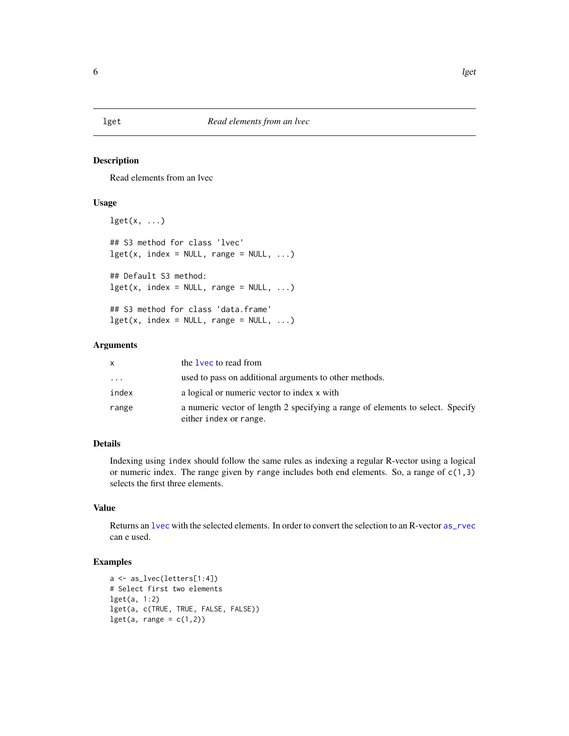<span id="page-5-0"></span>Read elements from an lvec

#### Usage

```
\text{lget}(x, \ldots)## S3 method for class 'lvec'
lget(x, index = NULL, range = NULL, ...)## Default S3 method:
lget(x, index = NULL, range = NULL, ...)## S3 method for class 'data.frame'
lget(x, index = NULL, range = NULL, ...)
```
#### Arguments

| X        | the 1 vec to read from                                                                                   |
|----------|----------------------------------------------------------------------------------------------------------|
| $\cdots$ | used to pass on additional arguments to other methods.                                                   |
| index    | a logical or numeric vector to index x with                                                              |
| range    | a numeric vector of length 2 specifying a range of elements to select. Specify<br>either index or range. |

#### Details

Indexing using index should follow the same rules as indexing a regular R-vector using a logical or numeric index. The range given by range includes both end elements. So, a range of  $c(1,3)$ selects the first three elements.

#### Value

Returns an [lvec](#page-8-1) with the selected elements. In order to convert the selection to an R-vector [as\\_rvec](#page-2-1) can e used.

```
a <- as_lvec(letters[1:4])
# Select first two elements
lget(a, 1:2)
lget(a, c(TRUE, TRUE, FALSE, FALSE))
\text{lget}(a, \text{ range} = c(1,2))
```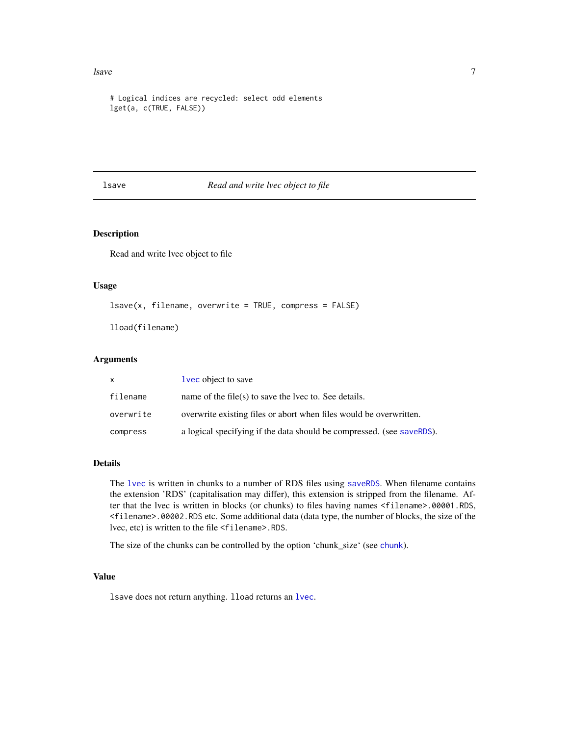#### <span id="page-6-0"></span>lsave 7 and 2008 and 2008 and 2008 and 2008 and 2008 and 2008 and 2008 and 2008 and 2008 and 2008 and 2008 and 2008 and 2008 and 2008 and 2008 and 2008 and 2008 and 2008 and 2008 and 2008 and 2008 and 2008 and 2008 and 200

```
# Logical indices are recycled: select odd elements
lget(a, c(TRUE, FALSE))
```
#### lsave *Read and write lvec object to file*

#### Description

Read and write lvec object to file

#### Usage

 $lsave(x, filename, overwrite = TRUE, compress = FALSE)$ 

lload(filename)

#### Arguments

| X         | lvec object to save                                                   |
|-----------|-----------------------------------------------------------------------|
| filename  | name of the file(s) to save the lvec to. See details.                 |
| overwrite | overwrite existing files or abort when files would be overwritten.    |
| compress  | a logical specifying if the data should be compressed. (see saveRDS). |

#### Details

The [lvec](#page-8-1) is written in chunks to a number of RDS files using [saveRDS](#page-0-0). When filename contains the extension 'RDS' (capitalisation may differ), this extension is stripped from the filename. After that the lvec is written in blocks (or chunks) to files having names <filename>.00001.RDS, <filename>.00002.RDS etc. Some additional data (data type, the number of blocks, the size of the lvec, etc) is written to the file <filename>.RDS.

The size of the chunks can be controlled by the option 'chunk\_size' (see [chunk](#page-2-2)).

#### Value

lsave does not return anything. lload returns an [lvec](#page-8-1).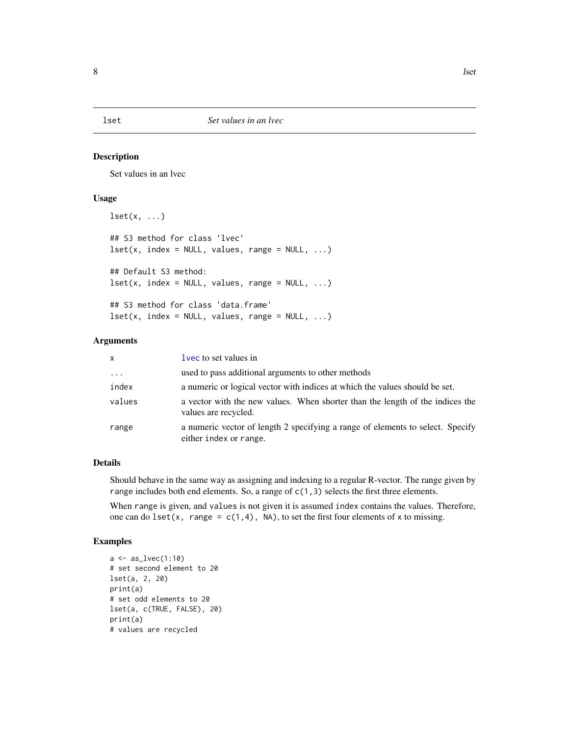<span id="page-7-0"></span>Set values in an lvec

#### Usage

```
\text{1set}(x, \ldots)## S3 method for class 'lvec'
\text{Iset}(x, \text{ index} = \text{NULL}, \text{ values}, \text{range} = \text{NULL}, \dots)## Default S3 method:
\text{Iset}(x, \text{ index} = \text{NULL}, \text{ values}, \text{ range} = \text{NULL}, \dots)## S3 method for class 'data.frame'
lest(x, index = NULL, values, range = NULL, ...)
```
#### Arguments

| $\mathsf{x}$ | lyec to set values in                                                                                    |
|--------------|----------------------------------------------------------------------------------------------------------|
| $\ddots$     | used to pass additional arguments to other methods                                                       |
| index        | a numeric or logical vector with indices at which the values should be set.                              |
| values       | a vector with the new values. When shorter than the length of the indices the<br>values are recycled.    |
| range        | a numeric vector of length 2 specifying a range of elements to select. Specify<br>either index or range. |

#### Details

Should behave in the same way as assigning and indexing to a regular R-vector. The range given by range includes both end elements. So, a range of  $c(1,3)$  selects the first three elements.

When range is given, and values is not given it is assumed index contains the values. Therefore, one can do lset(x, range =  $c(1,4)$ , NA), to set the first four elements of x to missing.

```
a \leftarrow as_{1}vec(1:10)# set second element to 20
lset(a, 2, 20)
print(a)
# set odd elements to 20
lset(a, c(TRUE, FALSE), 20)
print(a)
# values are recycled
```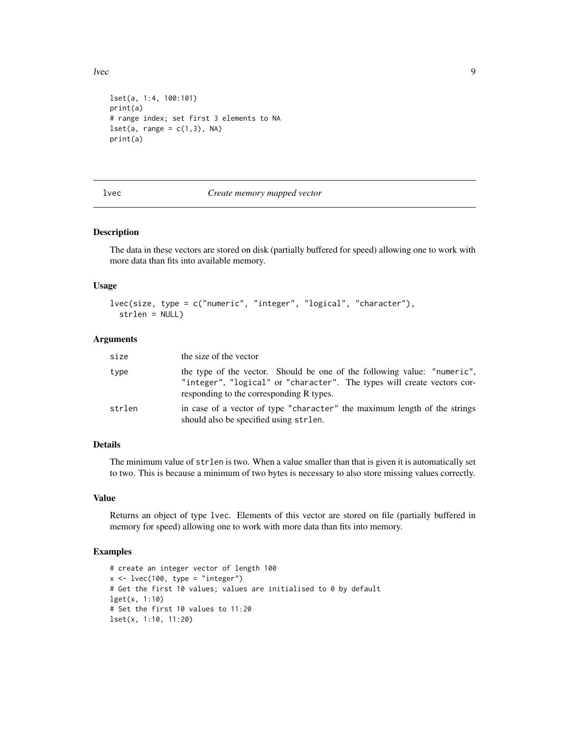<span id="page-8-0"></span>lvec 9

```
lset(a, 1:4, 100:101)
print(a)
# range index; set first 3 elements to NA
\text{1set}(a, \text{range} = c(1,3), \text{NA})print(a)
```
<span id="page-8-1"></span>

#### lvec *Create memory mapped vector*

#### Description

The data in these vectors are stored on disk (partially buffered for speed) allowing one to work with more data than fits into available memory.

#### Usage

```
lvec(size, type = c("numeric", "integer", "logical", "character"),
 strlen = NULL)
```
#### Arguments

| size   | the size of the vector                                                                                                                                                                          |
|--------|-------------------------------------------------------------------------------------------------------------------------------------------------------------------------------------------------|
| type   | the type of the vector. Should be one of the following value: "numeric",<br>"integer", "logical" or "character". The types will create vectors cor-<br>responding to the corresponding R types. |
| strlen | in case of a vector of type "character" the maximum length of the strings<br>should also be specified using strlen.                                                                             |

#### Details

The minimum value of strlen is two. When a value smaller than that is given it is automatically set to two. This is because a minimum of two bytes is necessary to also store missing values correctly.

#### Value

Returns an object of type lvec. Elements of this vector are stored on file (partially buffered in memory for speed) allowing one to work with more data than fits into memory.

```
# create an integer vector of length 100
x \le -\text{lvec}(100, \text{type} = \text{"integer"})# Get the first 10 values; values are initialised to 0 by default
lget(x, 1:10)
# Set the first 10 values to 11:20
lset(x, 1:10, 11:20)
```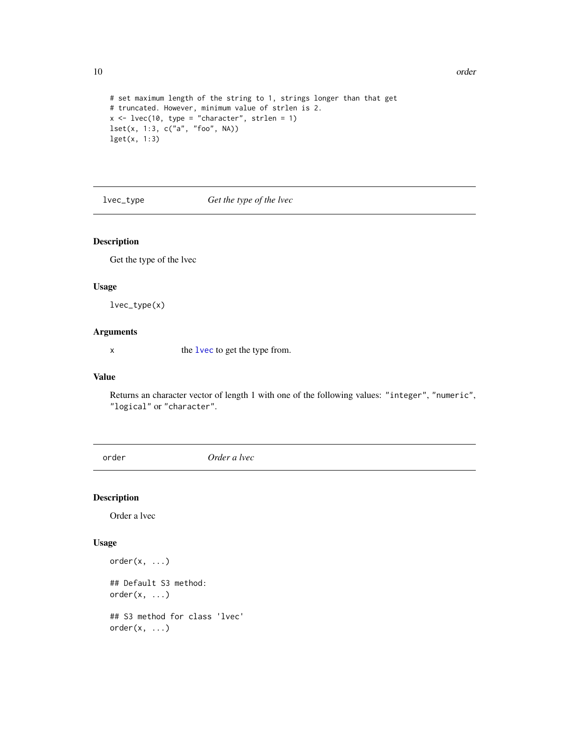```
# set maximum length of the string to 1, strings longer than that get
# truncated. However, minimum value of strlen is 2.
x \le -\text{lvec}(10, \text{ type} = \text{"character", strlen = 1})lset(x, 1:3, c("a", "foo", NA))
lget(x, 1:3)
```
lvec\_type *Get the type of the lvec*

#### Description

Get the type of the lvec

#### Usage

lvec\_type(x)

#### Arguments

x the [lvec](#page-8-1) to get the type from.

#### Value

Returns an character vector of length 1 with one of the following values: "integer", "numeric", "logical" or "character".

<span id="page-9-1"></span>order *Order a lvec*

#### Description

Order a lvec

#### Usage

```
order(x, \ldots)## Default S3 method:
order(x, \ldots)## S3 method for class 'lvec'
order(x, \ldots)
```
<span id="page-9-0"></span>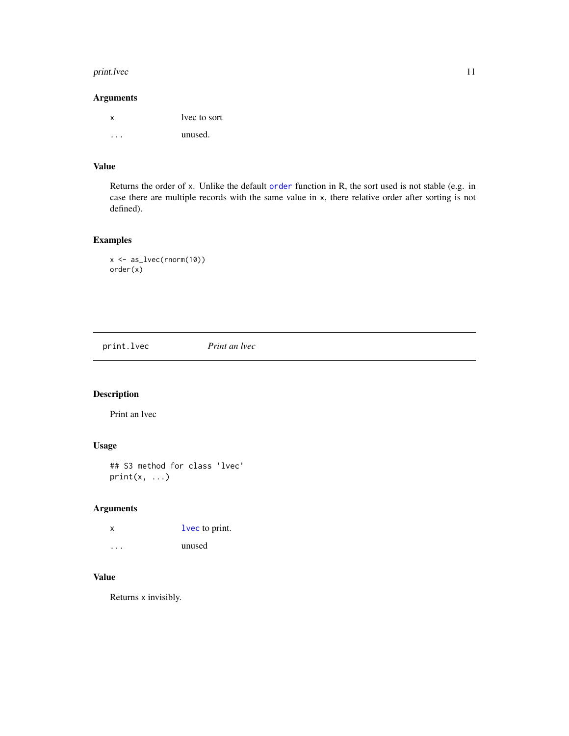#### <span id="page-10-0"></span>print.lvec 11

#### Arguments

| x | lyee to sort |
|---|--------------|
|   | unused.      |

#### Value

Returns the order of x. Unlike the default [order](#page-9-1) function in R, the sort used is not stable (e.g. in case there are multiple records with the same value in x, there relative order after sorting is not defined).

### Examples

```
x <- as_lvec(rnorm(10))
order(x)
```
print.lvec *Print an lvec*

#### Description

Print an lvec

#### Usage

```
## S3 method for class 'lvec'
print(x, \ldots)
```
#### Arguments

| X         | lvec to print. |
|-----------|----------------|
| $\ddotsc$ | unused         |

#### Value

Returns x invisibly.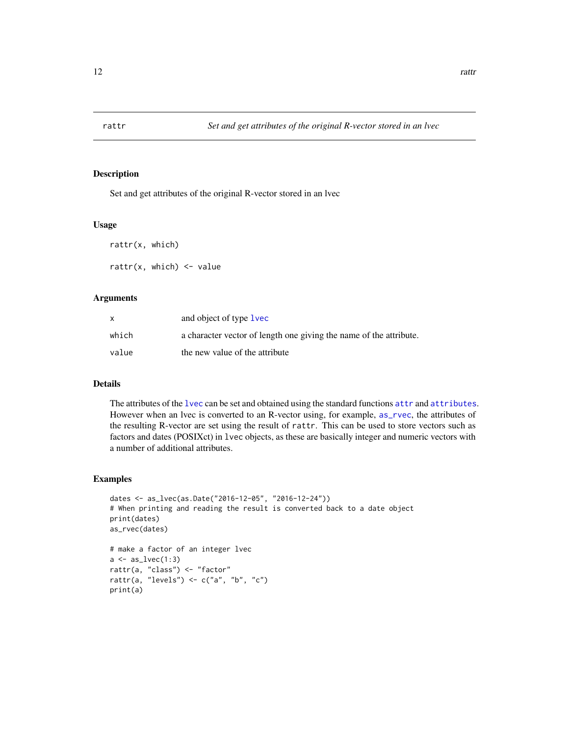<span id="page-11-0"></span>

Set and get attributes of the original R-vector stored in an lvec

#### Usage

rattr(x, which) rattr(x, which)  $\le$  value

#### Arguments

|       | and object of type <b>lvec</b>                                     |
|-------|--------------------------------------------------------------------|
| which | a character vector of length one giving the name of the attribute. |
| value | the new value of the attribute                                     |

#### Details

The attributes of the [lvec](#page-8-1) can be set and obtained using the standard functions [attr](#page-0-0) and [attributes](#page-0-0). However when an lvec is converted to an R-vector using, for example, [as\\_rvec](#page-2-1), the attributes of the resulting R-vector are set using the result of rattr. This can be used to store vectors such as factors and dates (POSIXct) in lvec objects, as these are basically integer and numeric vectors with a number of additional attributes.

```
dates <- as_lvec(as.Date("2016-12-05", "2016-12-24"))
# When printing and reading the result is converted back to a date object
print(dates)
as_rvec(dates)
# make a factor of an integer lvec
a \leftarrow as\_lvec(1:3)rattr(a, "class") <- "factor"
rattr(a, "levels") <- c("a", "b", "c")
print(a)
```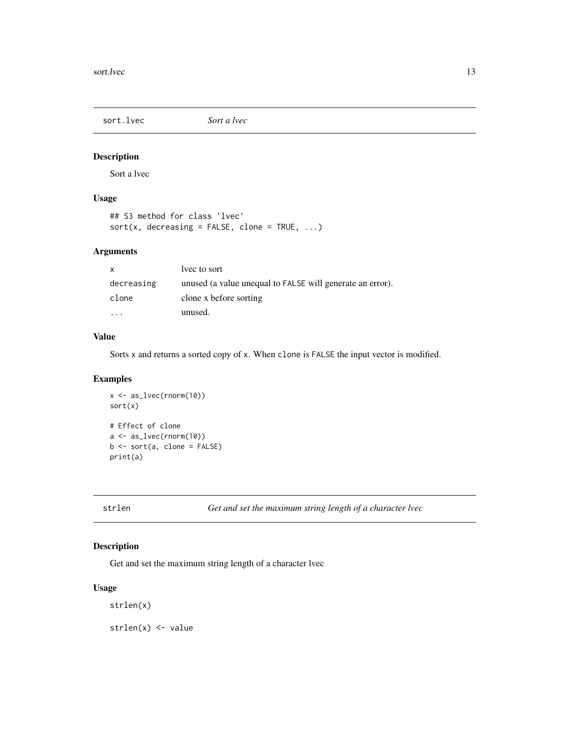<span id="page-12-0"></span>

Sort a lvec

#### Usage

## S3 method for class 'lvec'  $sort(x, decreasing = FALSE, clone = TRUE, ...)$ 

#### Arguments

| $\mathsf{x}$ | lyec to sort                                              |
|--------------|-----------------------------------------------------------|
| decreasing   | unused (a value unequal to FALSE will generate an error). |
| clone        | clone x before sorting                                    |
|              | unused.                                                   |

### Value

Sorts x and returns a sorted copy of x. When clone is FALSE the input vector is modified.

#### Examples

```
x \leftarrow as\_lvec(rnorm(10))sort(x)
# Effect of clone
a \leftarrow as\_lvec(rnorm(10))b \leq -sort(a, clone = FALSE)print(a)
```
strlen *Get and set the maximum string length of a character lvec*

#### Description

Get and set the maximum string length of a character lvec

#### Usage

strlen(x)

strlen(x) <- value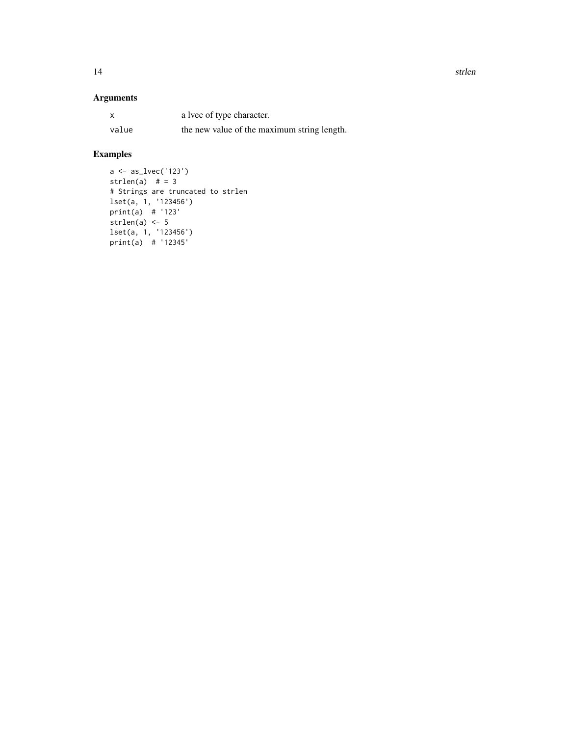14 strlen

#### Arguments

| x     | a lvec of type character.                   |
|-------|---------------------------------------------|
| value | the new value of the maximum string length. |

```
a <- as_lvec('123')
strlen(a) # = 3
# Strings are truncated to strlen
lset(a, 1, '123456')
print(a) # '123'
strlen(a) < -5lset(a, 1, '123456')
print(a) # '12345'
```